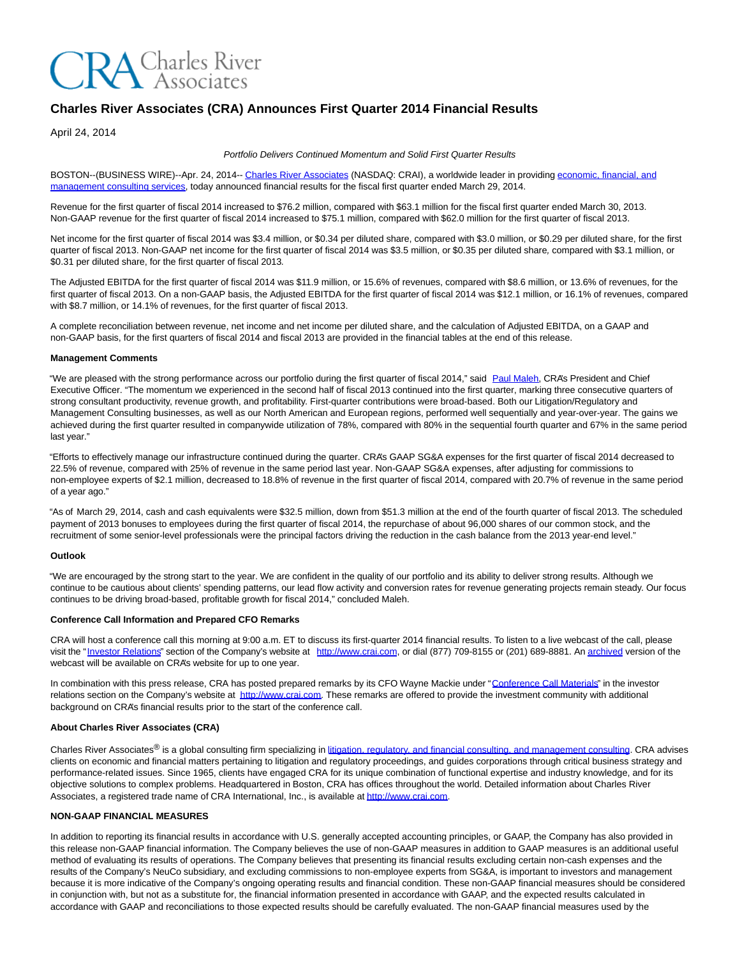# **CRA** Charles River

# **Charles River Associates (CRA) Announces First Quarter 2014 Financial Results**

April 24, 2014

#### Portfolio Delivers Continued Momentum and Solid First Quarter Results

BOSTON--(BUSINESS WIRE)--Apr. 24, 2014-[- Charles River Associates \(](http://cts.businesswire.com/ct/CT?id=smartlink&url=http%3A%2F%2Fwww.crai.com%2FDefault.aspx&esheet=50849892&newsitemid=20140424005730&lan=en-US&anchor=Charles+River+Associates&index=1&md5=76e69b31e5a0c7f119f43b32b9e44586)NASDAQ: CRAI), a worldwide leader in providin[g economic, financial, and](http://cts.businesswire.com/ct/CT?id=smartlink&url=http%3A%2F%2Fwww.crai.com%2FConsultingExpertise%2FDefaultCustom.aspx&esheet=50849892&newsitemid=20140424005730&lan=en-US&anchor=economic%2C+financial%2C+and+management+consulting+services&index=2&md5=71937858aae41c2f983e0738265a51cb) management consulting services, today announced financial results for the fiscal first quarter ended March 29, 2014.

Revenue for the first quarter of fiscal 2014 increased to \$76.2 million, compared with \$63.1 million for the fiscal first quarter ended March 30, 2013. Non-GAAP revenue for the first quarter of fiscal 2014 increased to \$75.1 million, compared with \$62.0 million for the first quarter of fiscal 2013.

Net income for the first quarter of fiscal 2014 was \$3.4 million, or \$0.34 per diluted share, compared with \$3.0 million, or \$0.29 per diluted share, for the first quarter of fiscal 2013. Non-GAAP net income for the first quarter of fiscal 2014 was \$3.5 million, or \$0.35 per diluted share, compared with \$3.1 million, or \$0.31 per diluted share, for the first quarter of fiscal 2013.

The Adjusted EBITDA for the first quarter of fiscal 2014 was \$11.9 million, or 15.6% of revenues, compared with \$8.6 million, or 13.6% of revenues, for the first quarter of fiscal 2013. On a non-GAAP basis, the Adjusted EBITDA for the first quarter of fiscal 2014 was \$12.1 million, or 16.1% of revenues, compared with \$8.7 million, or 14.1% of revenues, for the first quarter of fiscal 2013.

A complete reconciliation between revenue, net income and net income per diluted share, and the calculation of Adjusted EBITDA, on a GAAP and non-GAAP basis, for the first quarters of fiscal 2014 and fiscal 2013 are provided in the financial tables at the end of this release.

#### **Management Comments**

"We are pleased with the strong performance across our portfolio during the first quarter of fiscal 2014," said [Paul Maleh,](http://cts.businesswire.com/ct/CT?id=smartlink&url=http%3A%2F%2Fwww.crai.com%2FProfessionalStaff%2Flistingdetails.aspx%3Fid%3D2580&esheet=50849892&newsitemid=20140424005730&lan=en-US&anchor=Paul+Maleh&index=3&md5=b7d5263df53e51f5a3ebb4e6c6f34294) CRA's President and Chief Executive Officer. "The momentum we experienced in the second half of fiscal 2013 continued into the first quarter, marking three consecutive quarters of strong consultant productivity, revenue growth, and profitability. First-quarter contributions were broad-based. Both our Litigation/Regulatory and Management Consulting businesses, as well as our North American and European regions, performed well sequentially and year-over-year. The gains we achieved during the first quarter resulted in companywide utilization of 78%, compared with 80% in the sequential fourth quarter and 67% in the same period last year."

"Efforts to effectively manage our infrastructure continued during the quarter. CRA's GAAP SG&A expenses for the first quarter of fiscal 2014 decreased to 22.5% of revenue, compared with 25% of revenue in the same period last year. Non-GAAP SG&A expenses, after adjusting for commissions to non-employee experts of \$2.1 million, decreased to 18.8% of revenue in the first quarter of fiscal 2014, compared with 20.7% of revenue in the same period of a year ago."

"As of March 29, 2014, cash and cash equivalents were \$32.5 million, down from \$51.3 million at the end of the fourth quarter of fiscal 2013. The scheduled payment of 2013 bonuses to employees during the first quarter of fiscal 2014, the repurchase of about 96,000 shares of our common stock, and the recruitment of some senior-level professionals were the principal factors driving the reduction in the cash balance from the 2013 year-end level."

#### **Outlook**

"We are encouraged by the strong start to the year. We are confident in the quality of our portfolio and its ability to deliver strong results. Although we continue to be cautious about clients' spending patterns, our lead flow activity and conversion rates for revenue generating projects remain steady. Our focus continues to be driving broad-based, profitable growth for fiscal 2014," concluded Maleh.

#### **Conference Call Information and Prepared CFO Remarks**

CRA will host a conference call this morning at 9:00 a.m. ET to discuss its first-quarter 2014 financial results. To listen to a live webcast of the call, please visit the ["Investor Relations"](http://cts.businesswire.com/ct/CT?id=smartlink&url=http%3A%2F%2Fphx.corporate-ir.net%2Fphoenix.zhtml%3Fc%3D97435%26p%3Dirol-IRHome&esheet=50849892&newsitemid=20140424005730&lan=en-US&anchor=Investor+Relations&index=4&md5=fa8b3b341d41d841b17a5beae2762ff3) section of the Company's website at [http://www.crai.com,](http://cts.businesswire.com/ct/CT?id=smartlink&url=http%3A%2F%2Fwww.crai.com%2FDefault.aspx&esheet=50849892&newsitemid=20140424005730&lan=en-US&anchor=http%3A%2F%2Fwww.crai.com&index=5&md5=2318e0d817c96220de0ad4fec6244c0f) or dial (877) 709-8155 or (201) 689-8881. An [archived v](http://cts.businesswire.com/ct/CT?id=smartlink&url=http%3A%2F%2Fphx.corporate-ir.net%2Fphoenix.zhtml%3Fc%3D97435%26p%3Dirol-audioarchives&esheet=50849892&newsitemid=20140424005730&lan=en-US&anchor=archived&index=6&md5=0cad7941a549d4d73e5f19b45bd8cfeb)ersion of the webcast will be available on CRA's website for up to one year.

In combination with this press release, CRA has posted prepared remarks by its CFO Wayne Mackie under ["Conference Call Materials"](http://cts.businesswire.com/ct/CT?id=smartlink&url=http%3A%2F%2Fphx.corporate-ir.net%2Fphoenix.zhtml%3Fc%3D97435%26p%3Dirol-presentations&esheet=50849892&newsitemid=20140424005730&lan=en-US&anchor=Conference+Call+Materials&index=7&md5=2e69a12f5ba658874476874f30eb4f83) in the investor relations section on the Company's website at [http://www.crai.com.](http://cts.businesswire.com/ct/CT?id=smartlink&url=http%3A%2F%2Fwww.crai.com%2FDefault.aspx&esheet=50849892&newsitemid=20140424005730&lan=en-US&anchor=http%3A%2F%2Fwww.crai.com&index=8&md5=9b404097d7206ada1a202f3b0ec0e903) These remarks are offered to provide the investment community with additional background on CRA's financial results prior to the start of the conference call.

#### **About Charles River Associates (CRA)**

Charles River Associates<sup>®</sup> is a global consulting firm specializing in *Litigation, regulatory, and financial consulting, and management consulting*. CRA advises clients on economic and financial matters pertaining to litigation and regulatory proceedings, and guides corporations through critical business strategy and performance-related issues. Since 1965, clients have engaged CRA for its unique combination of functional expertise and industry knowledge, and for its objective solutions to complex problems. Headquartered in Boston, CRA has offices throughout the world. Detailed information about Charles River Associates, a registered trade name of CRA International, Inc., is available at [http://www.crai.com.](http://cts.businesswire.com/ct/CT?id=smartlink&url=http%3A%2F%2Fwww.crai.com%2F&esheet=50849892&newsitemid=20140424005730&lan=en-US&anchor=http%3A%2F%2Fwww.crai.com&index=10&md5=dd2b684d90831535f584c6eb0942e0d3)

#### **NON-GAAP FINANCIAL MEASURES**

In addition to reporting its financial results in accordance with U.S. generally accepted accounting principles, or GAAP, the Company has also provided in this release non-GAAP financial information. The Company believes the use of non-GAAP measures in addition to GAAP measures is an additional useful method of evaluating its results of operations. The Company believes that presenting its financial results excluding certain non-cash expenses and the results of the Company's NeuCo subsidiary, and excluding commissions to non-employee experts from SG&A, is important to investors and management because it is more indicative of the Company's ongoing operating results and financial condition. These non-GAAP financial measures should be considered in conjunction with, but not as a substitute for, the financial information presented in accordance with GAAP, and the expected results calculated in accordance with GAAP and reconciliations to those expected results should be carefully evaluated. The non-GAAP financial measures used by the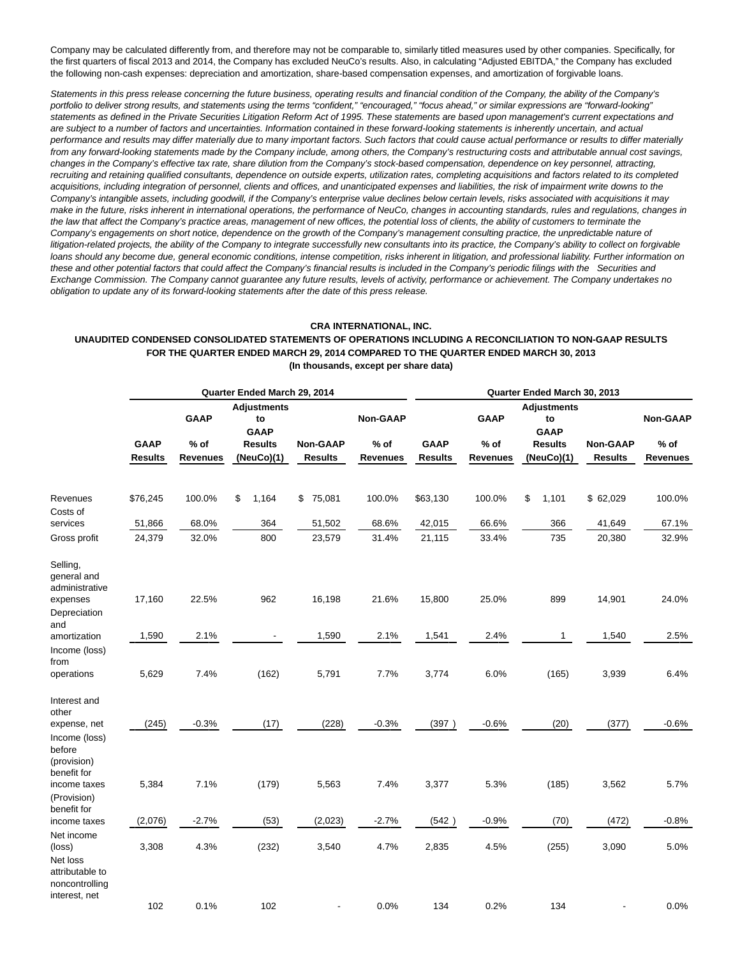Company may be calculated differently from, and therefore may not be comparable to, similarly titled measures used by other companies. Specifically, for the first quarters of fiscal 2013 and 2014, the Company has excluded NeuCo's results. Also, in calculating "Adjusted EBITDA," the Company has excluded the following non-cash expenses: depreciation and amortization, share-based compensation expenses, and amortization of forgivable loans.

Statements in this press release concerning the future business, operating results and financial condition of the Company, the ability of the Company's portfolio to deliver strong results, and statements using the terms "confident," "encouraged," "focus ahead," or similar expressions are "forward-looking" statements as defined in the Private Securities Litigation Reform Act of 1995. These statements are based upon management's current expectations and are subject to a number of factors and uncertainties. Information contained in these forward-looking statements is inherently uncertain, and actual performance and results may differ materially due to many important factors. Such factors that could cause actual performance or results to differ materially from any forward-looking statements made by the Company include, among others, the Company's restructuring costs and attributable annual cost savings, changes in the Company's effective tax rate, share dilution from the Company's stock-based compensation, dependence on key personnel, attracting, recruiting and retaining qualified consultants, dependence on outside experts, utilization rates, completing acquisitions and factors related to its completed acquisitions, including integration of personnel, clients and offices, and unanticipated expenses and liabilities, the risk of impairment write downs to the Company's intangible assets, including goodwill, if the Company's enterprise value declines below certain levels, risks associated with acquisitions it may make in the future, risks inherent in international operations, the performance of NeuCo, changes in accounting standards, rules and regulations, changes in the law that affect the Company's practice areas, management of new offices, the potential loss of clients, the ability of customers to terminate the Company's engagements on short notice, dependence on the growth of the Company's management consulting practice, the unpredictable nature of litigation-related projects, the ability of the Company to integrate successfully new consultants into its practice, the Company's ability to collect on forgivable loans should any become due, general economic conditions, intense competition, risks inherent in litigation, and professional liability. Further information on these and other potential factors that could affect the Company's financial results is included in the Company's periodic filings with the Securities and Exchange Commission. The Company cannot guarantee any future results, levels of activity, performance or achievement. The Company undertakes no obligation to update any of its forward-looking statements after the date of this press release.

#### **CRA INTERNATIONAL, INC.**

### **UNAUDITED CONDENSED CONSOLIDATED STATEMENTS OF OPERATIONS INCLUDING A RECONCILIATION TO NON-GAAP RESULTS FOR THE QUARTER ENDED MARCH 29, 2014 COMPARED TO THE QUARTER ENDED MARCH 30, 2013 (In thousands, except per share data)**

|                                                                              |                               |                           | Quarter Ended March 29, 2014                |                                   |                           | Quarter Ended March 30, 2013  |                           |                                             |                                   |                           |  |  |  |
|------------------------------------------------------------------------------|-------------------------------|---------------------------|---------------------------------------------|-----------------------------------|---------------------------|-------------------------------|---------------------------|---------------------------------------------|-----------------------------------|---------------------------|--|--|--|
|                                                                              |                               | <b>GAAP</b>               | <b>Adjustments</b><br><b>Non-GAAP</b><br>to |                                   |                           |                               | <b>GAAP</b>               | <b>Adjustments</b><br>to                    | Non-GAAP                          |                           |  |  |  |
|                                                                              | <b>GAAP</b><br><b>Results</b> | $%$ of<br><b>Revenues</b> | <b>GAAP</b><br><b>Results</b><br>(NeuCo)(1) | <b>Non-GAAP</b><br><b>Results</b> | $%$ of<br><b>Revenues</b> | <b>GAAP</b><br><b>Results</b> | $%$ of<br><b>Revenues</b> | <b>GAAP</b><br><b>Results</b><br>(NeuCo)(1) | <b>Non-GAAP</b><br><b>Results</b> | $%$ of<br><b>Revenues</b> |  |  |  |
| Revenues<br>Costs of                                                         | \$76,245                      | 100.0%                    | \$<br>1,164                                 | 75,081<br>\$                      | 100.0%                    | \$63,130                      | 100.0%                    | \$<br>1,101                                 | \$62,029                          | 100.0%                    |  |  |  |
| services                                                                     | 51,866                        | 68.0%                     | 364                                         | 51,502                            | 68.6%                     | 42,015                        | 66.6%                     | 366                                         | 41,649                            | 67.1%                     |  |  |  |
| Gross profit                                                                 | 24,379                        | 32.0%                     | 800                                         | 23,579                            | 31.4%                     | 21,115                        | 33.4%                     | 735                                         | 20,380                            | 32.9%                     |  |  |  |
| Selling,<br>general and<br>administrative<br>expenses<br>Depreciation<br>and | 17,160                        | 22.5%                     | 962                                         | 16,198                            | 21.6%                     | 15,800                        | 25.0%                     | 899                                         | 14,901                            | 24.0%                     |  |  |  |
| amortization                                                                 | 1,590                         | 2.1%                      |                                             | 1,590                             | 2.1%                      | 1,541                         | 2.4%                      | 1                                           | 1,540                             | 2.5%                      |  |  |  |
| Income (loss)<br>from<br>operations                                          | 5,629                         | 7.4%                      | (162)                                       | 5,791                             | 7.7%                      | 3,774                         | 6.0%                      | (165)                                       | 3,939                             | 6.4%                      |  |  |  |
| Interest and<br>other<br>expense, net<br>Income (loss)<br>before             | (245)                         | $-0.3%$                   | (17)                                        | (228)                             | $-0.3%$                   | (397)                         | $-0.6%$                   | (20)                                        | (377)                             | $-0.6%$                   |  |  |  |
| (provision)<br>benefit for<br>income taxes<br>(Provision)<br>benefit for     | 5,384                         | 7.1%                      | (179)                                       | 5,563                             | 7.4%                      | 3,377                         | 5.3%                      | (185)                                       | 3,562                             | 5.7%                      |  |  |  |
| income taxes                                                                 | (2,076)                       | $-2.7%$                   | (53)                                        | (2,023)                           | $-2.7%$                   | (542)                         | $-0.9%$                   | (70)                                        | (472)                             | $-0.8%$                   |  |  |  |
| Net income<br>(loss)<br>Net loss<br>attributable to<br>noncontrolling        | 3,308                         | 4.3%                      | (232)                                       | 3,540                             | 4.7%                      | 2,835                         | 4.5%                      | (255)                                       | 3,090                             | 5.0%                      |  |  |  |
| interest, net                                                                | 102                           | 0.1%                      | 102                                         |                                   | 0.0%                      | 134                           | 0.2%                      | 134                                         |                                   | 0.0%                      |  |  |  |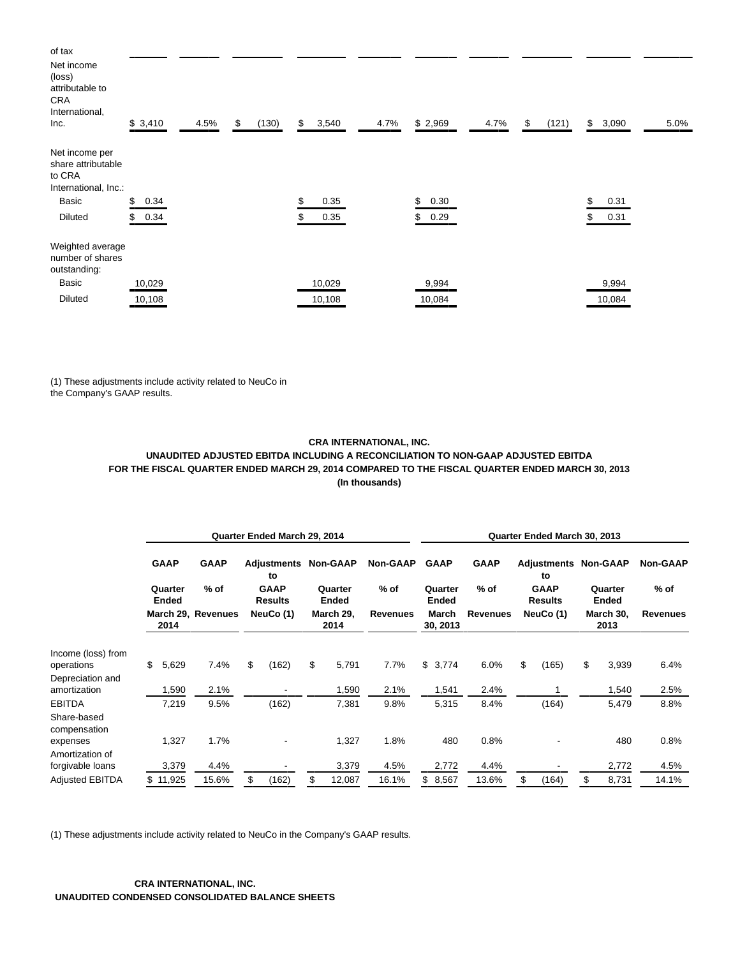| of tax<br>Net income<br>(loss)<br>attributable to<br><b>CRA</b><br>International,<br>Inc. | \$3,410    | 4.5% | \$<br>(130) | \$ | 3,540  | 4.7% | \$2,969    | 4.7% | \$<br>(121) | 3,090<br>\$ | 5.0% |
|-------------------------------------------------------------------------------------------|------------|------|-------------|----|--------|------|------------|------|-------------|-------------|------|
| Net income per<br>share attributable<br>to CRA<br>International, Inc.:<br>Basic           | \$<br>0.34 |      |             | \$ | 0.35   |      | \$<br>0.30 |      |             | \$<br>0.31  |      |
| <b>Diluted</b>                                                                            | \$<br>0.34 |      |             | S  | 0.35   |      | \$<br>0.29 |      |             | 0.31<br>\$  |      |
| Weighted average<br>number of shares<br>outstanding:                                      |            |      |             |    |        |      |            |      |             |             |      |
| Basic                                                                                     | 10,029     |      |             |    | 10,029 |      | 9,994      |      |             | 9,994       |      |
| <b>Diluted</b>                                                                            | 10,108     |      |             |    | 10,108 |      | 10,084     |      |             | 10,084      |      |

(1) These adjustments include activity related to NeuCo in

the Company's GAAP results.

## **CRA INTERNATIONAL, INC. UNAUDITED ADJUSTED EBITDA INCLUDING A RECONCILIATION TO NON-GAAP ADJUSTED EBITDA FOR THE FISCAL QUARTER ENDED MARCH 29, 2014 COMPARED TO THE FISCAL QUARTER ENDED MARCH 30, 2013 (In thousands)**

|                                     | Quarter Ended March 29, 2014    |             |                    |           |                                   |                                   |        |                 |                         |             | Quarter Ended March 30, 2013  |           |                                   |                   |        |                 |  |  |
|-------------------------------------|---------------------------------|-------------|--------------------|-----------|-----------------------------------|-----------------------------------|--------|-----------------|-------------------------|-------------|-------------------------------|-----------|-----------------------------------|-------------------|--------|-----------------|--|--|
|                                     |                                 | <b>GAAP</b> | <b>GAAP</b>        |           | <b>Adjustments Non-GAAP</b><br>to |                                   |        | <b>Non-GAAP</b> |                         | <b>GAAP</b> | <b>GAAP</b>                   |           | <b>Adjustments Non-GAAP</b><br>to |                   |        | <b>Non-GAAP</b> |  |  |
|                                     | Quarter<br><b>Ended</b><br>2014 |             | $%$ of             |           | <b>GAAP</b><br><b>Results</b>     | $%$ of<br>Quarter<br><b>Ended</b> |        |                 | Quarter<br><b>Ended</b> | $%$ of      | <b>GAAP</b><br><b>Results</b> |           | Quarter<br>Ended                  |                   | $%$ of |                 |  |  |
|                                     |                                 |             | March 29, Revenues | NeuCo (1) |                                   | March 29,<br>2014                 |        | <b>Revenues</b> | March<br>30, 2013       |             | <b>Revenues</b>               | NeuCo (1) |                                   | March 30,<br>2013 |        | <b>Revenues</b> |  |  |
| Income (loss) from                  |                                 |             |                    |           |                                   |                                   |        |                 |                         |             |                               |           |                                   |                   |        |                 |  |  |
| operations                          | \$                              | 5,629       | 7.4%               | \$        | (162)                             | \$                                | 5,791  | 7.7%            |                         | \$3,774     | 6.0%                          | \$        | (165)                             | \$                | 3,939  | 6.4%            |  |  |
| Depreciation and<br>amortization    |                                 | 1,590       | 2.1%               |           |                                   |                                   | 1,590  | 2.1%            |                         | 1,541       | 2.4%                          |           |                                   |                   | 1,540  | 2.5%            |  |  |
| <b>EBITDA</b>                       |                                 | 7,219       | 9.5%               |           | (162)                             |                                   | 7,381  | 9.8%            |                         | 5,315       | 8.4%                          |           | (164)                             |                   | 5,479  | 8.8%            |  |  |
| Share-based<br>compensation         |                                 |             |                    |           |                                   |                                   |        |                 |                         |             |                               |           |                                   |                   |        |                 |  |  |
| expenses                            |                                 | 1,327       | 1.7%               |           |                                   |                                   | 1,327  | 1.8%            |                         | 480         | 0.8%                          |           |                                   |                   | 480    | 0.8%            |  |  |
| Amortization of<br>forgivable loans |                                 | 3,379       | 4.4%               |           |                                   |                                   | 3,379  | 4.5%            |                         | 2,772       | 4.4%                          |           |                                   |                   | 2,772  | 4.5%            |  |  |
| <b>Adjusted EBITDA</b>              |                                 | \$11,925    | 15.6%              | \$        | (162)                             | \$                                | 12,087 | 16.1%           |                         | \$8,567     | 13.6%                         | \$        | (164)                             | \$                | 8,731  | 14.1%           |  |  |

(1) These adjustments include activity related to NeuCo in the Company's GAAP results.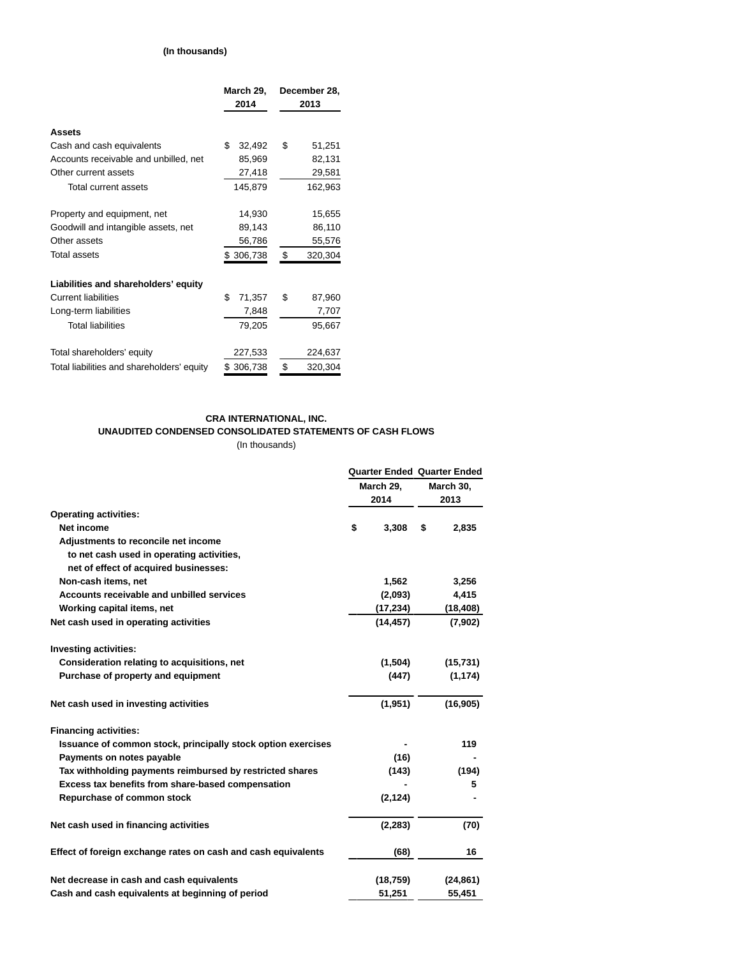#### **(In thousands)**

|                                            | March 29,    | December 28,  |
|--------------------------------------------|--------------|---------------|
|                                            | 2014         | 2013          |
| <b>Assets</b>                              |              |               |
| Cash and cash equivalents                  | \$<br>32,492 | \$<br>51,251  |
| Accounts receivable and unbilled, net      | 85,969       | 82,131        |
| Other current assets                       | 27,418       | 29,581        |
| Total current assets                       | 145,879      | 162,963       |
| Property and equipment, net                | 14,930       | 15,655        |
| Goodwill and intangible assets, net        | 89,143       | 86,110        |
| Other assets                               | 56,786       | 55,576        |
| <b>Total assets</b>                        | \$306,738    | \$<br>320,304 |
| Liabilities and shareholders' equity       |              |               |
| <b>Current liabilities</b>                 | \$<br>71,357 | \$<br>87,960  |
| Long-term liabilities                      | 7,848        | 7,707         |
| <b>Total liabilities</b>                   | 79,205       | 95,667        |
| Total shareholders' equity                 | 227,533      | 224,637       |
| Total liabilities and shareholders' equity | \$306,738    | \$<br>320,304 |

# **CRA INTERNATIONAL, INC. UNAUDITED CONDENSED CONSOLIDATED STATEMENTS OF CASH FLOWS**

(In thousands)

|                                                               | <b>Quarter Ended Quarter Ended</b> |           |           |           |  |  |
|---------------------------------------------------------------|------------------------------------|-----------|-----------|-----------|--|--|
|                                                               |                                    | March 29, | March 30, |           |  |  |
|                                                               |                                    | 2014      |           | 2013      |  |  |
| <b>Operating activities:</b>                                  |                                    |           |           |           |  |  |
| <b>Net income</b>                                             | \$                                 | 3,308     | \$        | 2,835     |  |  |
| Adjustments to reconcile net income                           |                                    |           |           |           |  |  |
| to net cash used in operating activities,                     |                                    |           |           |           |  |  |
| net of effect of acquired businesses:                         |                                    |           |           |           |  |  |
| Non-cash items, net                                           |                                    | 1,562     |           | 3,256     |  |  |
| Accounts receivable and unbilled services                     |                                    | (2,093)   |           | 4,415     |  |  |
| Working capital items, net                                    |                                    | (17, 234) |           | (18, 408) |  |  |
| Net cash used in operating activities                         |                                    | (14, 457) |           | (7,902)   |  |  |
| <b>Investing activities:</b>                                  |                                    |           |           |           |  |  |
| Consideration relating to acquisitions, net                   |                                    | (1, 504)  |           | (15, 731) |  |  |
| Purchase of property and equipment                            |                                    | (447)     |           | (1, 174)  |  |  |
| Net cash used in investing activities                         |                                    | (1, 951)  |           | (16, 905) |  |  |
| <b>Financing activities:</b>                                  |                                    |           |           |           |  |  |
| Issuance of common stock, principally stock option exercises  |                                    |           |           | 119       |  |  |
| Payments on notes payable                                     |                                    | (16)      |           |           |  |  |
| Tax withholding payments reimbursed by restricted shares      |                                    | (143)     |           | (194)     |  |  |
| Excess tax benefits from share-based compensation             |                                    |           |           | 5         |  |  |
| Repurchase of common stock                                    |                                    | (2, 124)  |           |           |  |  |
| Net cash used in financing activities                         |                                    | (2, 283)  |           | (70)      |  |  |
| Effect of foreign exchange rates on cash and cash equivalents |                                    | (68)      |           | 16        |  |  |
| Net decrease in cash and cash equivalents                     |                                    | (18, 759) |           | (24, 861) |  |  |
| Cash and cash equivalents at beginning of period              |                                    | 51,251    |           | 55,451    |  |  |
|                                                               |                                    |           |           |           |  |  |